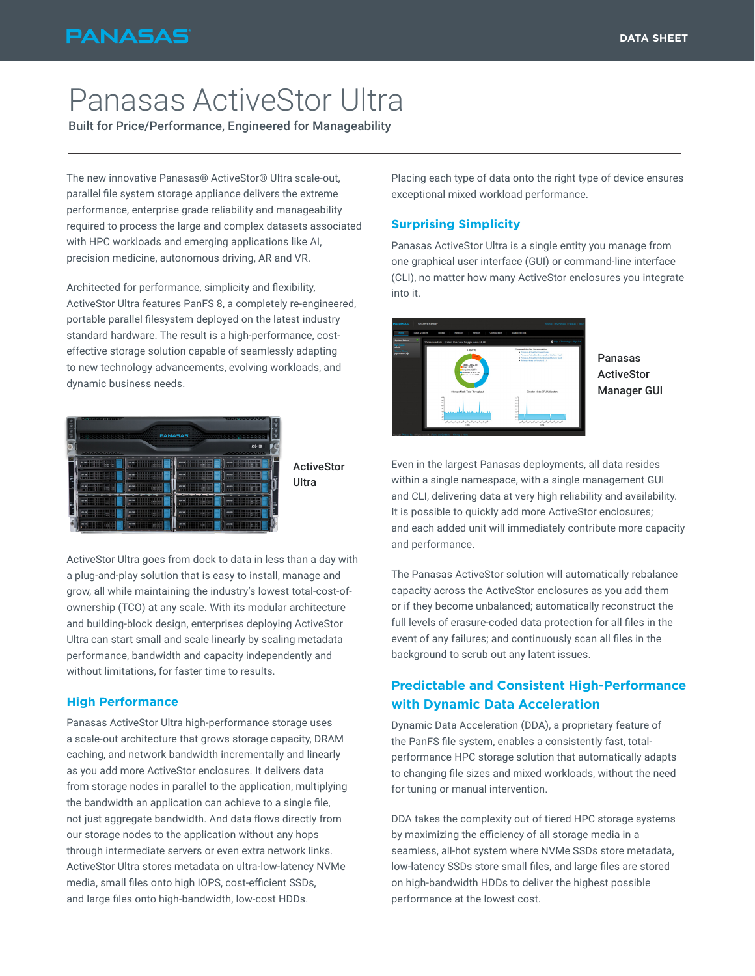## **PANASAS**

# Panasas ActiveStor Ultra

Built for Price/Performance, Engineered for Manageability

The new innovative Panasas® ActiveStor® Ultra scale-out, parallel file system storage appliance delivers the extreme performance, enterprise grade reliability and manageability required to process the large and complex datasets associated with HPC workloads and emerging applications like AI, precision medicine, autonomous driving, AR and VR.

Architected for performance, simplicity and flexibility, ActiveStor Ultra features PanFS 8, a completely re-engineered, portable parallel filesystem deployed on the latest industry standard hardware. The result is a high-performance, costeffective storage solution capable of seamlessly adapting to new technology advancements, evolving workloads, and dynamic business needs.



ActiveStor Ultra goes from dock to data in less than a day with a plug-and-play solution that is easy to install, manage and grow, all while maintaining the industry's lowest total-cost-ofownership (TCO) at any scale. With its modular architecture and building-block design, enterprises deploying ActiveStor Ultra can start small and scale linearly by scaling metadata performance, bandwidth and capacity independently and without limitations, for faster time to results.

#### **High Performance**

Panasas ActiveStor Ultra high-performance storage uses a scale-out architecture that grows storage capacity, DRAM caching, and network bandwidth incrementally and linearly as you add more ActiveStor enclosures. It delivers data from storage nodes in parallel to the application, multiplying the bandwidth an application can achieve to a single file, not just aggregate bandwidth. And data flows directly from our storage nodes to the application without any hops through intermediate servers or even extra network links. ActiveStor Ultra stores metadata on ultra-low-latency NVMe media, small files onto high IOPS, cost-efficient SSDs, and large files onto high-bandwidth, low-cost HDDs.

Placing each type of data onto the right type of device ensures exceptional mixed workload performance.

#### **Surprising Simplicity**

Panasas ActiveStor Ultra is a single entity you manage from one graphical user interface (GUI) or command-line interface (CLI), no matter how many ActiveStor enclosures you integrate into it.



Panasas **ActiveStor** Manager GUI

Even in the largest Panasas deployments, all data resides within a single namespace, with a single management GUI and CLI, delivering data at very high reliability and availability. It is possible to quickly add more ActiveStor enclosures; and each added unit will immediately contribute more capacity and performance.

The Panasas ActiveStor solution will automatically rebalance capacity across the ActiveStor enclosures as you add them or if they become unbalanced; automatically reconstruct the full levels of erasure-coded data protection for all files in the event of any failures; and continuously scan all files in the background to scrub out any latent issues.

### **Predictable and Consistent High-Performance with Dynamic Data Acceleration**

Dynamic Data Acceleration (DDA), a proprietary feature of the PanFS file system, enables a consistently fast, totalperformance HPC storage solution that automatically adapts to changing file sizes and mixed workloads, without the need for tuning or manual intervention.

DDA takes the complexity out of tiered HPC storage systems by maximizing the efficiency of all storage media in a seamless, all-hot system where NVMe SSDs store metadata, low-latency SSDs store small files, and large files are stored on high-bandwidth HDDs to deliver the highest possible performance at the lowest cost.